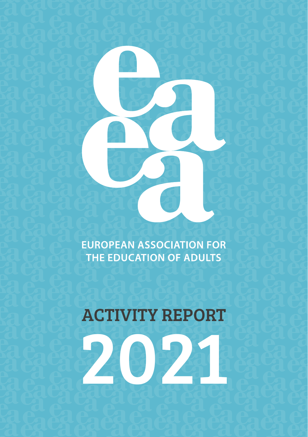**EUROPEAN ASSOCIATION FOR** THE EDUCATION OF ADULTS

# ACTIVITY REPORT

2021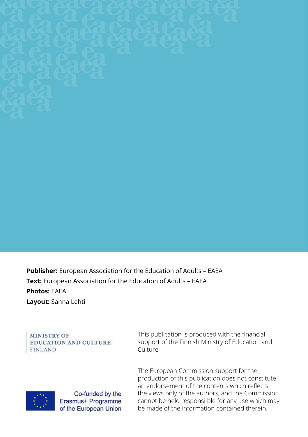

**Publisher:** European Association for the Education of Adults – EAEA **Text:** European Association for the Education of Adults – EAEA **Photos:** EAEA **Layout:** Sanna Lehti

**MINISTRY OF EDUCATION AND CULTURE** FINLAND

This publication is produced with the financial support of the Finnish Ministry of Education and Culture.

The European Commission support for the production of this publication does not constitute an endorsement of the contents which reflects the views only of the authors, and the Commission cannot be held responsi ble for any use which may be made of the information contained therein.



Co-funded by the Erasmus+ Programme of the European Union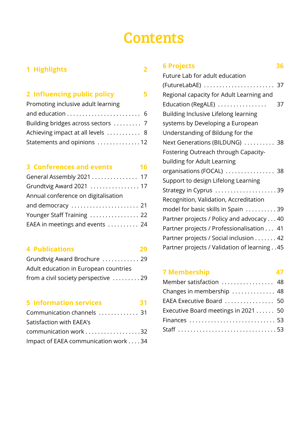### **Contents**

#### **[1 Highlights](#page-3-0) 2**

#### **[2 Influencing public policy 5](#page-6-0)**

| Promoting inclusive adult learning |  |
|------------------------------------|--|
|                                    |  |
|                                    |  |
| Achieving impact at all levels  8  |  |
| Statements and opinions 12         |  |

#### **[3 Conferences and events](#page-17-0) 16**

| General Assembly 2021 17            |  |
|-------------------------------------|--|
| Grundtvig Award 2021  17            |  |
| Annual conference on digitalisation |  |
|                                     |  |
| Younger Staff Training  22          |  |
| EAEA in meetings and events  24     |  |

#### **[4 Publications](#page-30-0) 29**

| Grundtvig Award Brochure  29          |  |
|---------------------------------------|--|
| Adult education in European countries |  |
| from a civil society perspective 29   |  |

#### **[5 Information services](#page-32-0) 31**

| Communication channels  31           |  |
|--------------------------------------|--|
| Satisfaction with EAEA's             |  |
| communication work 32                |  |
| Impact of EAEA communication work 34 |  |

| <b>6 Projects</b><br>36                      |
|----------------------------------------------|
| Future Lab for adult education               |
| (FutureLabAE)  37                            |
| Regional capacity for Adult Learning and     |
| Education (RegALE)<br>37                     |
| Building Inclusive Lifelong learning         |
| systems by Developing a European             |
| Understanding of Bildung for the             |
| Next Generations (BILDUNG)  38               |
| Fostering Outreach through Capacity-         |
| building for Adult Learning                  |
| organisations (FOCAL)  38                    |
| Support to design Lifelong Learning          |
| Strategy in Cyprus 39                        |
| Recognition, Validation, Accreditation       |
| model for basic skills in Spain  39          |
| Partner projects / Policy and advocacy 40    |
| Partner projects / Professionalisation 41    |
| Partner projects / Social inclusion 42       |
| Partner projects / Validation of learning 45 |

#### **[7 Membership](#page-47-0) 47**

| Member satisfaction  48             |  |
|-------------------------------------|--|
| Changes in membership  48           |  |
| EAEA Executive Board  50            |  |
| Executive Board meetings in 2021 50 |  |
| Finances  53                        |  |
|                                     |  |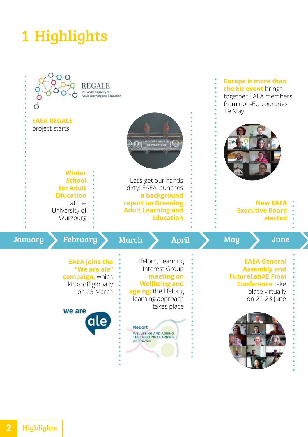## <span id="page-3-0"></span>1 Highlights

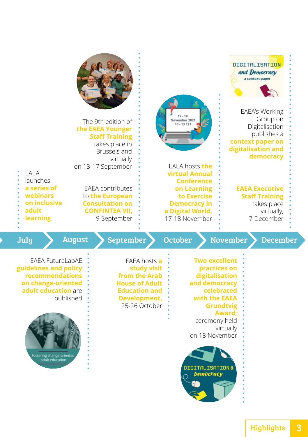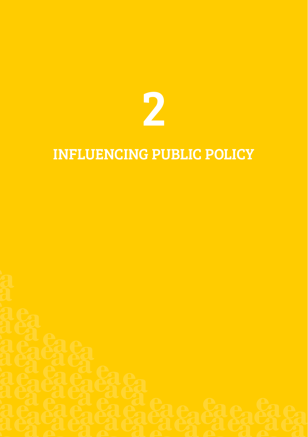

### INFLUENCING PUBLIC POLICY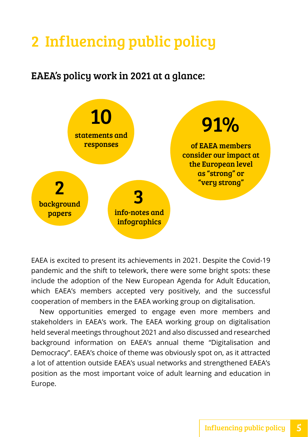### <span id="page-6-0"></span>2 Influencing public policy

EAEA's policy work in 2021 at a glance:



EAEA is excited to present its achievements in 2021. Despite the Covid-19 pandemic and the shift to telework, there were some bright spots: these include the adoption of the New European Agenda for Adult Education, which EAEA's members accepted very positively, and the successful cooperation of members in the EAEA working group on digitalisation.

New opportunities emerged to engage even more members and stakeholders in EAEA's work. The EAEA working group on digitalisation held several meetings throughout 2021 and also discussed and researched background information on EAEA's annual theme "Digitalisation and Democracy". EAEA's choice of theme was obviously spot on, as it attracted a lot of attention outside EAEA's usual networks and strengthened EAEA's position as the most important voice of adult learning and education in Europe.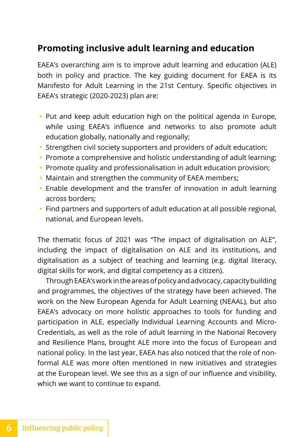#### <span id="page-7-0"></span>**Promoting inclusive adult learning and education**

EAEA's overarching aim is to improve adult learning and education (ALE) both in policy and practice. The key guiding document for EAEA is its Manifesto for Adult Learning in the 21st Century. Specific objectives in EAEA's strategic (2020-2023) plan are:

- **•** Put and keep adult education high on the political agenda in Europe, while using EAEA's influence and networks to also promote adult education globally, nationally and regionally;
- **•** Strengthen civil society supporters and providers of adult education;
- **•** Promote a comprehensive and holistic understanding of adult learning;
- **•** Promote quality and professionalisation in adult education provision;
- **•** Maintain and strengthen the community of EAEA members;
- **•** Enable development and the transfer of innovation in adult learning across borders;
- **•** Find partners and supporters of adult education at all possible regional, national, and European levels.

The thematic focus of 2021 was "The impact of digitalisation on ALE", including the impact of digitalisation on ALE and its institutions, and digitalisation as a subject of teaching and learning (e.g. digital literacy, digital skills for work, and digital competency as a citizen).

Through EAEA's work in the areas of policy and advocacy, capacity building and programmes, the objectives of the strategy have been achieved. The work on the New European Agenda for Adult Learning (NEAAL), but also EAEA's advocacy on more holistic approaches to tools for funding and participation in ALE, especially Individual Learning Accounts and Micro-Credentials, as well as the role of adult learning in the National Recovery and Resilience Plans, brought ALE more into the focus of European and national policy. In the last year, EAEA has also noticed that the role of nonformal ALE was more often mentioned in new initiatives and strategies at the European level. We see this as a sign of our influence and visibility, which we want to continue to expand.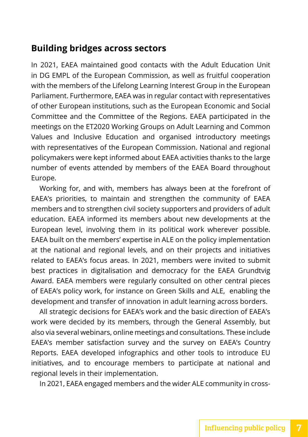#### <span id="page-8-0"></span>**Building bridges across sectors**

In 2021, EAEA maintained good contacts with the Adult Education Unit in DG EMPL of the European Commission, as well as fruitful cooperation with the members of the Lifelong Learning Interest Group in the European Parliament. Furthermore, EAEA was in regular contact with representatives of other European institutions, such as the European Economic and Social Committee and the Committee of the Regions. EAEA participated in the meetings on the ET2020 Working Groups on Adult Learning and Common Values and Inclusive Education and organised introductory meetings with representatives of the European Commission. National and regional policymakers were kept informed about EAEA activities thanks to the large number of events attended by members of the EAEA Board throughout Europe.

Working for, and with, members has always been at the forefront of EAEA's priorities, to maintain and strengthen the community of EAEA members and to strengthen civil society supporters and providers of adult education. EAEA informed its members about new developments at the European level, involving them in its political work wherever possible. EAEA built on the members' expertise in ALE on the policy implementation at the national and regional levels, and on their projects and initiatives related to EAEA's focus areas. In 2021, members were invited to submit best practices in digitalisation and democracy for the EAEA Grundtvig Award. EAEA members were regularly consulted on other central pieces of EAEA's policy work, for instance on Green Skills and ALE, enabling the development and transfer of innovation in adult learning across borders.

All strategic decisions for EAEA's work and the basic direction of EAEA's work were decided by its members, through the General Assembly, but also via several webinars, online meetings and consultations. These include EAEA's member satisfaction survey and the survey on EAEA's Country Reports. EAEA developed infographics and other tools to introduce EU initiatives, and to encourage members to participate at national and regional levels in their implementation.

In 2021, EAEA engaged members and the wider ALE community in cross-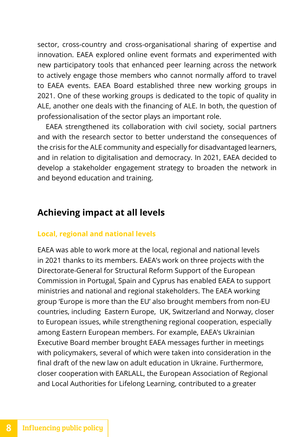<span id="page-9-0"></span>sector, cross-country and cross-organisational sharing of expertise and innovation. EAEA explored online event formats and experimented with new participatory tools that enhanced peer learning across the network to actively engage those members who cannot normally afford to travel to EAEA events. EAEA Board established three new working groups in 2021. One of these working groups is dedicated to the topic of quality in ALE, another one deals with the financing of ALE. In both, the question of professionalisation of the sector plays an important role.

EAEA strengthened its collaboration with civil society, social partners and with the research sector to better understand the consequences of the crisis for the ALE community and especially for disadvantaged learners, and in relation to digitalisation and democracy. In 2021, EAEA decided to develop a stakeholder engagement strategy to broaden the network in and beyond education and training.

#### **Achieving impact at all levels**

#### **Local, regional and national levels**

EAEA was able to work more at the local, regional and national levels in 2021 thanks to its members. EAEA's work on three projects with the Directorate-General for Structural Reform Support of the European Commission in Portugal, Spain and Cyprus has enabled EAEA to support ministries and national and regional stakeholders. The EAEA working group 'Europe is more than the EU' also brought members from non-EU countries, including Eastern Europe, UK, Switzerland and Norway, closer to European issues, while strengthening regional cooperation, especially among Eastern European members. For example, EAEA's Ukrainian Executive Board member brought EAEA messages further in meetings with policymakers, several of which were taken into consideration in the final draft of the new law on adult education in Ukraine. Furthermore, closer cooperation with EARLALL, the European Association of Regional and Local Authorities for Lifelong Learning, contributed to a greater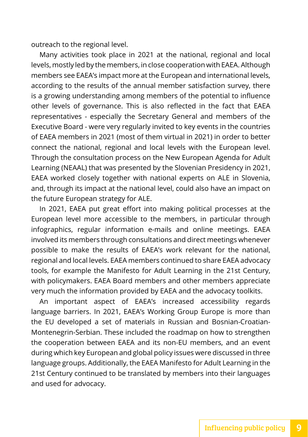outreach to the regional level.

Many activities took place in 2021 at the national, regional and local levels, mostly led by the members, in close cooperation with EAEA. Although members see EAEA's impact more at the European and international levels, according to the results of the annual member satisfaction survey, there is a growing understanding among members of the potential to influence other levels of governance. This is also reflected in the fact that EAEA representatives - especially the Secretary General and members of the Executive Board - were very regularly invited to key events in the countries of EAEA members in 2021 (most of them virtual in 2021) in order to better connect the national, regional and local levels with the European level. Through the consultation process on the New European Agenda for Adult Learning (NEAAL) that was presented by the Slovenian Presidency in 2021, EAEA worked closely together with national experts on ALE in Slovenia, and, through its impact at the national level, could also have an impact on the future European strategy for ALE.

In 2021, EAEA put great effort into making political processes at the European level more accessible to the members, in particular through infographics, regular information e-mails and online meetings. EAEA involved its members through consultations and direct meetings whenever possible to make the results of EAEA's work relevant for the national, regional and local levels. EAEA members continued to share EAEA advocacy tools, for example the Manifesto for Adult Learning in the 21st Century, with policymakers. EAEA Board members and other members appreciate very much the information provided by EAEA and the advocacy toolkits.

An important aspect of EAEA's increased accessibility regards language barriers. In 2021, EAEA's Working Group Europe is more than the EU developed a set of materials in Russian and Bosnian-Croatian-Montenegrin-Serbian. These included the roadmap on how to strengthen the cooperation between EAEA and its non-EU members, and an event during which key European and global policy issues were discussed in three language groups. Additionally, the EAEA Manifesto for Adult Learning in the 21st Century continued to be translated by members into their languages and used for advocacy.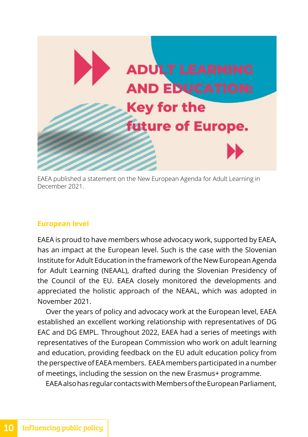

EAEA published a statement on the New European Agenda for Adult Learning in December 2021.

#### **European level**

EAEA is proud to have members whose advocacy work, supported by EAEA, has an impact at the European level. Such is the case with the Slovenian Institute for Adult Education in the framework of the New European Agenda for Adult Learning (NEAAL), drafted during the Slovenian Presidency of the Council of the EU. EAEA closely monitored the developments and appreciated the holistic approach of the NEAAL, which was adopted in November 2021.

Over the years of policy and advocacy work at the European level, EAEA established an excellent working relationship with representatives of DG EAC and DG EMPL. Throughout 2022, EAEA had a series of meetings with representatives of the European Commission who work on adult learning and education, providing feedback on the EU adult education policy from the perspective of EAEA members. EAEA members participated in a number of meetings, including the session on the new Erasmus+ programme.

EAEA also has regular contacts with Members of the European Parliament,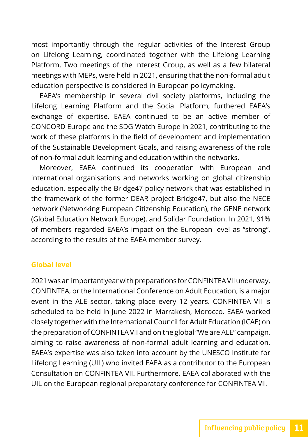most importantly through the regular activities of the Interest Group on Lifelong Learning, coordinated together with the Lifelong Learning Platform. Two meetings of the Interest Group, as well as a few bilateral meetings with MEPs, were held in 2021, ensuring that the non-formal adult education perspective is considered in European policymaking.

EAEA's membership in several civil society platforms, including the Lifelong Learning Platform and the Social Platform, furthered EAEA's exchange of expertise. EAEA continued to be an active member of CONCORD Europe and the SDG Watch Europe in 2021, contributing to the work of these platforms in the field of development and implementation of the Sustainable Development Goals, and raising awareness of the role of non-formal adult learning and education within the networks.

Moreover, EAEA continued its cooperation with European and international organisations and networks working on global citizenship education, especially the Bridge47 policy network that was established in the framework of the former DEAR project Bridge47, but also the NECE network (Networking European Citizenship Education), the GENE network (Global Education Network Europe), and Solidar Foundation. In 2021, 91% of members regarded EAEA's impact on the European level as "strong", according to the results of the EAEA member survey.

#### **Global level**

2021 was an important year with preparations for CONFINTEA VII underway. CONFINTEA, or the International Conference on Adult Education, is a major event in the ALE sector, taking place every 12 years. CONFINTEA VII is scheduled to be held in June 2022 in Marrakesh, Morocco. EAEA worked closely together with the International Council for Adult Education (ICAE) on the preparation of CONFINTEA VII and on the global "We are ALE" campaign, aiming to raise awareness of non-formal adult learning and education. EAEA's expertise was also taken into account by the UNESCO Institute for Lifelong Learning (UIL) who invited EAEA as a contributor to the European Consultation on CONFINTEA VII. Furthermore, EAEA collaborated with the UIL on the European regional preparatory conference for CONFINTEA VII.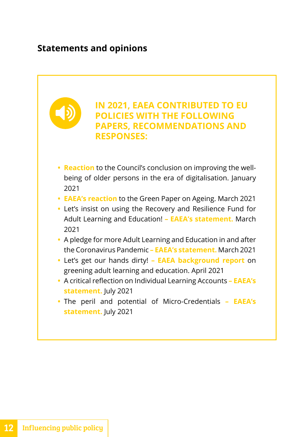#### <span id="page-13-0"></span>**Statements and opinions**

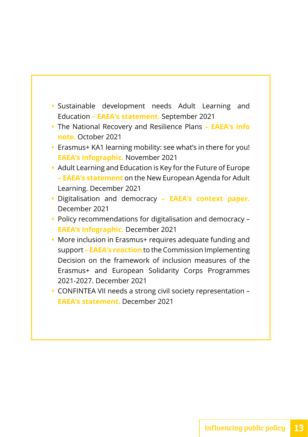- **•** Sustainable development needs Adult Learning and Education **– EAEA's statement.** September 2021
- **•** The National Recovery and Resilience Plans  **EAEA's info note.** October 2021
- **•** Erasmus+ KA1 learning mobility: see what's in there for you! **EAEA's infographic.** November 2021
- **•** Adult Learning and Education is Key for the Future of Europe **– EAEA's statement** on the New European Agenda for Adult Learning. December 2021
- **•** Digitalisation and democracy  **EAEA's context paper.**  December 2021
- **•** Policy recommendations for digitalisation and democracy **EAEA's infographic.** December 2021
- **•** More inclusion in Erasmus+ requires adequate funding and support **– EAEA's reaction** to the Commission Implementing Decision on the framework of inclusion measures of the Erasmus+ and European Solidarity Corps Programmes 2021-2027. December 2021
- **•** CONFINTEA VII needs a strong civil society representation **EAEA's statement.** December 2021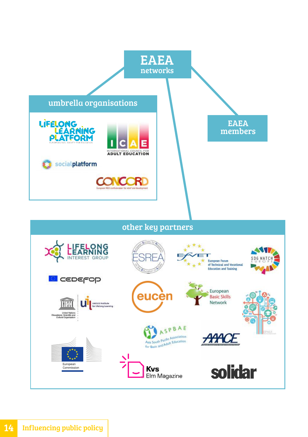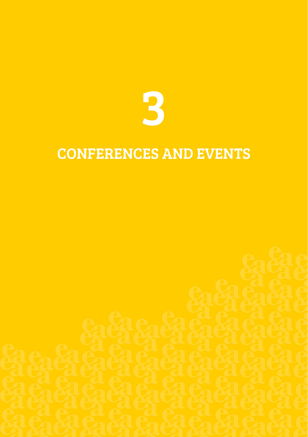

### CONFERENCES AND EVENTS

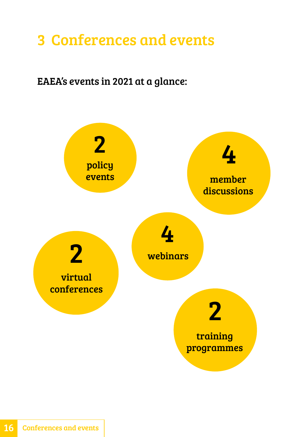### <span id="page-17-0"></span>3 Conferences and events

### EAEA's events in 2021 at a glance:

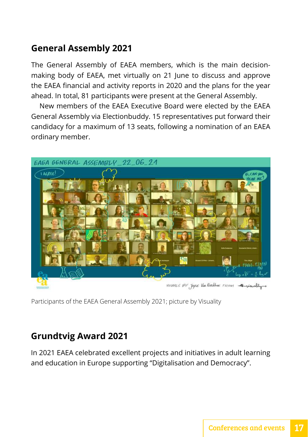#### <span id="page-18-0"></span>**General Assembly 2021**

The General Assembly of EAEA members, which is the main decisionmaking body of EAEA, met virtually on 21 June to discuss and approve the EAEA financial and activity reports in 2020 and the plans for the year ahead. In total, 81 participants were present at the General Assembly.

New members of the EAEA Executive Board were elected by the EAEA General Assembly via Electionbuddy. 15 representatives put forward their candidacy for a maximum of 13 seats, following a nomination of an EAEA ordinary member.



VISNALS BY JOYCE Van KERKHONE FRONT

Participants of the EAEA General Assembly 2021; picture by Visuality

#### **Grundtvig Award 2021**

In 2021 EAEA celebrated excellent projects and initiatives in adult learning and education in Europe supporting "Digitalisation and Democracy".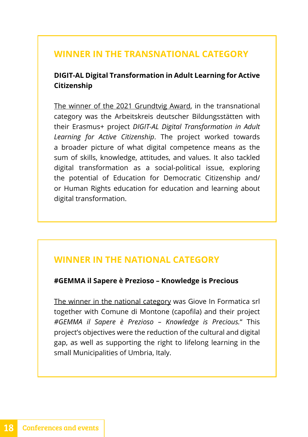#### **WINNER IN THE TRANSNATIONAL CATEGORY**

#### **DIGIT-AL Digital Transformation in Adult Learning for Active Citizenship**

[The winner of the 2021 Grundtvig Award,](https://eaea.org/2022/02/08/we-need-rights-based-education-about-digitalisation/) in the transnational category was the Arbeitskreis deutscher Bildungsstätten with their Erasmus+ project *DIGIT-AL Digital Transformation in Adult Learning for Active Citizenship*. The project worked towards a broader picture of what digital competence means as the sum of skills, knowledge, attitudes, and values. It also tackled digital transformation as a social-political issue, exploring the potential of Education for Democratic Citizenship and/ or Human Rights education for education and learning about digital transformation.

#### **WINNER IN THE NATIONAL CATEGORY**

#### **#GEMMA il Sapere è Prezioso – Knowledge is Precious**

[The winner in the national category](https://eaea.org/2022/01/19/fighting-exclusion-through-proximity-accessibility-and-engagement/) was Giove In Formatica srl together with Comune di Montone (capofila) and their project *#GEMMA il Sapere è Prezioso – Knowledge is Precious.*" This project's objectives were the reduction of the cultural and digital gap, as well as supporting the right to lifelong learning in the small Municipalities of Umbria, Italy.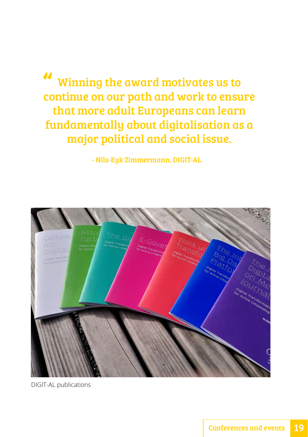Winning the award motivates us to continue on our path and work to ensure that more adult Europeans can learn fundamentally about digitalisation as a major political and social issue. "<br>"<br>"

- Nils-Eyk Zimmermann, DIGIT-AL



DIGIT-AL publications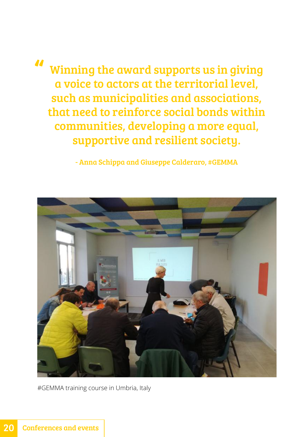Winning the award supports us in giving a voice to actors at the territorial level, such as municipalities and associations, that need to reinforce social bonds within communities, developing a more equal, supportive and resilient society. "

- Anna Schippa and Giuseppe Calderaro, #GEMMA



#GEMMA training course in Umbria, Italy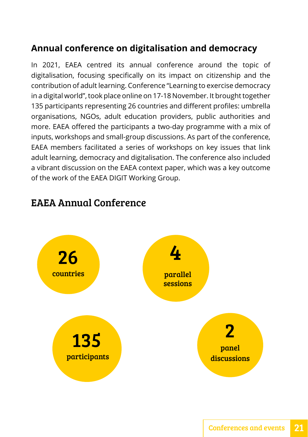#### <span id="page-22-0"></span>**Annual conference on digitalisation and democracy**

In 2021, EAEA centred its annual conference around the topic of digitalisation, focusing specifically on its impact on citizenship and the contribution of adult learning. Conference "Learning to exercise democracy in a digital world", took place online on 17-18 November. It brought together 135 participants representing 26 countries and different profiles: umbrella organisations, NGOs, adult education providers, public authorities and more. EAEA offered the participants a two-day programme with a mix of inputs, workshops and small-group discussions. As part of the conference, EAEA members facilitated a series of workshops on key issues that link adult learning, democracy and digitalisation. The conference also included a vibrant discussion on the EAEA context paper, which was a key outcome of the work of the EAEA DIGIT Working Group.



#### EAEA Annual Conference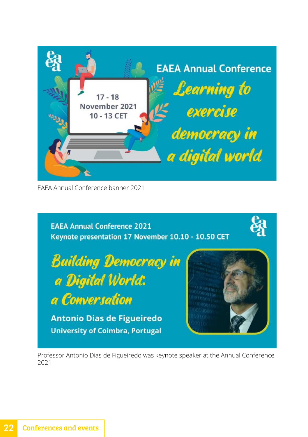<span id="page-23-0"></span>

EAEA Annual Conference banner 2021



Professor Antonio Dias de Figueiredo was keynote speaker at the Annual Conference 2021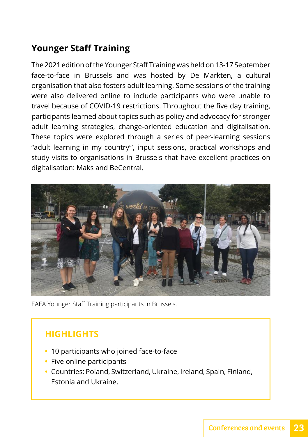#### **Younger Staff Training**

The 2021 edition of the Younger Staff Training was held on 13-17 September face-to-face in Brussels and was hosted by De Markten, a cultural organisation that also fosters adult learning. Some sessions of the training were also delivered online to include participants who were unable to travel because of COVID-19 restrictions. Throughout the five day training, participants learned about topics such as policy and advocacy for stronger adult learning strategies, change-oriented education and digitalisation. These topics were explored through a series of peer-learning sessions "adult learning in my country'", input sessions, practical workshops and study visits to organisations in Brussels that have excellent practices on digitalisation: Maks and BeCentral.



EAEA Younger Staff Training participants in Brussels.

#### **HIGHLIGHTS**

- **•** 10 participants who joined face-to-face
- **•** Five online participants
- **•** Countries: Poland, Switzerland, Ukraine, Ireland, Spain, Finland, Estonia and Ukraine.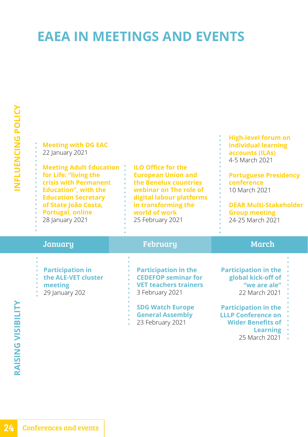### <span id="page-25-0"></span>**EAEA IN MEETINGS AND EVENTS**

| <b>Meeting with DG EAC</b><br>22 January 2021<br><b>Meeting Adult Education</b><br>for Life: "living the<br>crisis with Permanent<br><b>Education", with the</b><br><b>Education Secretary</b><br>of State João Costa,<br><b>Portugal, online</b><br>28 January 2021 | <b>ILO Office for the</b><br><b>European Union and</b><br>the Benelux countries<br>webinar on The role of<br>digital labour platforms<br>in transforming the<br>world of work<br>25 February 2021 | <b>High-level forum on</b><br>individual learning<br>accounts (ILAs)<br>4-5 March 2021<br><b>Portuguese Presidency</b><br>conference<br>10 March 2021<br><b>DEAR Multi-Stakeholder</b><br><b>Group meeting</b><br>24-25 March 2021 |
|----------------------------------------------------------------------------------------------------------------------------------------------------------------------------------------------------------------------------------------------------------------------|---------------------------------------------------------------------------------------------------------------------------------------------------------------------------------------------------|------------------------------------------------------------------------------------------------------------------------------------------------------------------------------------------------------------------------------------|
| January                                                                                                                                                                                                                                                              | February                                                                                                                                                                                          | March                                                                                                                                                                                                                              |
| <b>Participation in</b>                                                                                                                                                                                                                                              | <b>Participation in the</b>                                                                                                                                                                       | <b>Participation in the</b>                                                                                                                                                                                                        |

- **the ALE-VET cluster**
- **meeting**
- 29 January 202

**CEDEFOP seminar for VET teachers trainers** 3 February 2021

**SDG Watch Europe General Assembly** 23 February 2021

**global kick-off of "we are ale"** 22 March 2021

**Participation in the LLLP Conference on** 

- **Wider Benefits of** 
	- **Learning**
	- 25 March 2021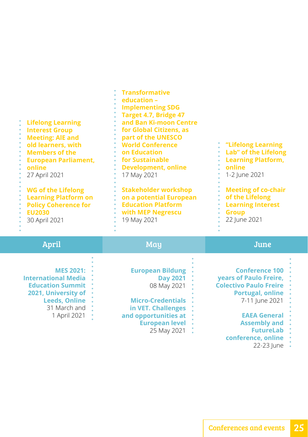| <b>Lifelong Learning</b><br><b>Interest Group</b><br><b>Meeting: AIE and</b><br>old learners, with<br><b>Members of the</b><br>$\bullet$<br><b>European Parliament,</b><br>online<br>27 April 2021<br><b>WG of the Lifelong</b><br><b>Learning Platform on</b><br><b>Policy Coherence for</b><br><b>EU2030</b><br>30 April 2021 | <b>Transformative</b><br>education -<br><b>Implementing SDG</b><br>Target 4.7, Bridge 47<br>and Ban Ki-moon Centre<br>for Global Citizens, as<br>part of the UNESCO<br><b>World Conference</b><br>on Education<br>for Sustainable<br><b>Development, online</b><br>17 May 2021<br><b>Stakeholder workshop</b><br>on a potential European<br><b>Education Platform</b><br>with MEP Negrescu<br>19 May 2021 | "Lifelong Learning<br>Lab" of the Lifelong<br><b>Learning Platform,</b><br>online<br>1-2 June 2021<br><b>Meeting of co-chair</b><br>of the Lifelong<br><b>Learning Interest</b><br><b>Group</b><br>22 June 2021                     |
|---------------------------------------------------------------------------------------------------------------------------------------------------------------------------------------------------------------------------------------------------------------------------------------------------------------------------------|-----------------------------------------------------------------------------------------------------------------------------------------------------------------------------------------------------------------------------------------------------------------------------------------------------------------------------------------------------------------------------------------------------------|-------------------------------------------------------------------------------------------------------------------------------------------------------------------------------------------------------------------------------------|
| <b>April</b>                                                                                                                                                                                                                                                                                                                    | May                                                                                                                                                                                                                                                                                                                                                                                                       | June                                                                                                                                                                                                                                |
| <b>MES 2021:</b><br><b>International Media</b><br><b>Education Summit</b><br>2021, University of<br><b>Leeds, Online</b><br>31 March and<br>1 April 2021                                                                                                                                                                        | <b>European Bildung</b><br><b>Day 2021</b><br>08 May 2021<br><b>Micro-Credentials</b><br>in VET. Challenges<br>and opportunities at<br><b>European level</b><br>25 May 2021                                                                                                                                                                                                                               | <b>Conference 100</b><br>years of Paulo Freire,<br><b>Colectivo Paulo Freire</b><br><b>Portugal, online</b><br>7-11 June 2021<br><b>EAEA General</b><br><b>Assembly and</b><br><b>FutureLab</b><br>conference, online<br>22-23 June |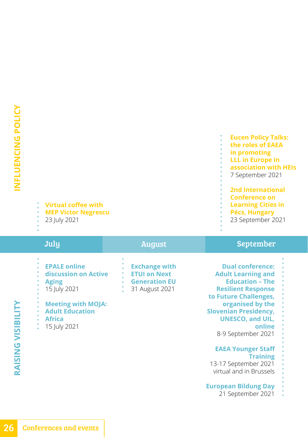#### **Virtual coffee with**

- **MEP Victor Negrescu**
- 23 July 2021

## July August September

- **EPALE online discussion on Active Aging** 15 July 2021
- **Meeting with MOJA: Adult Education Africa** 15 July 2021
- **Exchange with ETUI on Next Generation EU**  31 August 2021

**Eucen Policy Talks: the roles of EAEA in promoting LLL in Europe in association with HEIs**  7 September 2021 **2nd International Conference on Learning Cities in Pécs, Hungary** 23 September 2021

**Dual conference: Adult Learning and Education – The Resilient Response to Future Challenges, organised by the Slovenian Presidency, UNESCO, and UIL, online** 8-9 September 2021

#### **EAEA Younger Staff Training**

13-17 September 2021 virtual and in Brussels

#### **European Bildung Day**

21 September 2021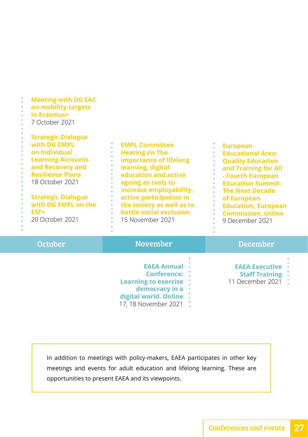| <b>Meeting with DG EAC</b><br>on mobility targets<br>in Erasmus+<br>7 October 2021<br><b>Strategic Dialogue</b><br>with DG EMPL<br>on Individual<br><b>Learning Accounts</b><br>and Recovery and<br><b>Resilience Plans</b><br>18 October 2021<br><b>Strategic Dialogue</b><br>with DG EMPL on the<br>ESF+<br>20 October 2021 | <b>EMPL Committee</b><br><b>Hearing on The</b><br>importance of lifelong<br>learning, digital<br>education and active<br>ageing as tools to<br>ò.<br>increase employability,<br>active participation in<br>the society as well as to<br>battle social exclusion<br>15 November 2021 | <b>European</b><br><b>Educational Area:</b><br><b>Quality Education</b><br>and Training for All<br>- Fourth European<br>$\bullet$<br><b>Education Summit:</b><br>ò.<br><b>The Next Decade</b><br>۰<br>of European<br><b>Education, European</b><br><b>Commission, online</b><br>9 December 2021 |
|-------------------------------------------------------------------------------------------------------------------------------------------------------------------------------------------------------------------------------------------------------------------------------------------------------------------------------|-------------------------------------------------------------------------------------------------------------------------------------------------------------------------------------------------------------------------------------------------------------------------------------|-------------------------------------------------------------------------------------------------------------------------------------------------------------------------------------------------------------------------------------------------------------------------------------------------|
|                                                                                                                                                                                                                                                                                                                               |                                                                                                                                                                                                                                                                                     |                                                                                                                                                                                                                                                                                                 |
| <b>October</b>                                                                                                                                                                                                                                                                                                                | <b>November</b>                                                                                                                                                                                                                                                                     | <b>December</b>                                                                                                                                                                                                                                                                                 |
|                                                                                                                                                                                                                                                                                                                               | <b>EAEA Annual</b><br><b>Conference:</b><br><b>Learning to exercise</b><br>democracy in a<br>digital world. Online<br>17, 18 November 2021                                                                                                                                          | <b>EAEA Executive</b><br><b>Staff Training</b><br>11 December 2021 :                                                                                                                                                                                                                            |

In addition to meetings with policy-makers, EAEA participates in other key meetings and events for adult education and lifelong learning. These are opportunities to present EAEA and its viewpoints.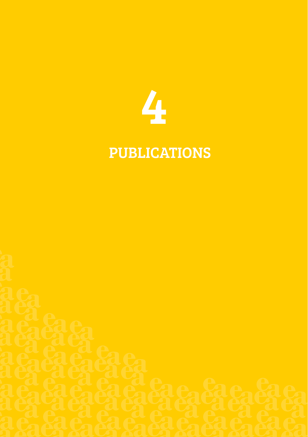

## PUBLICATIONS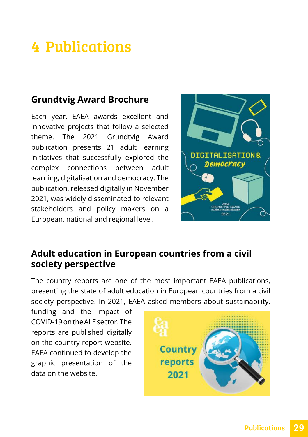### <span id="page-30-0"></span>4 Publications

#### **Grundtvig Award Brochure**

Each year, EAEA awards excellent and innovative projects that follow a selected [theme. The 2021 Grundtvig Award](https://eaea.org/our-work/capacity-building/eaea-grundtvig-award/eaea-grundtvig-award-publications/)  publication presents 21 adult learning initiatives that successfully explored the complex connections between adult learning, digitalisation and democracy. The publication, released digitally in November 2021, was widely disseminated to relevant stakeholders and policy makers on a European, national and regional level.



#### **Adult education in European countries from a civil society perspective**

The country reports are one of the most important EAEA publications, presenting the state of adult education in European countries from a civil society perspective. In 2021, EAEA asked members about sustainability,

funding and the impact of COVID-19 on the ALE sector. The reports are published digitally on [the country report website.](https://countryreport.eaea.org/)  EAEA continued to develop the graphic presentation of the data on the website.

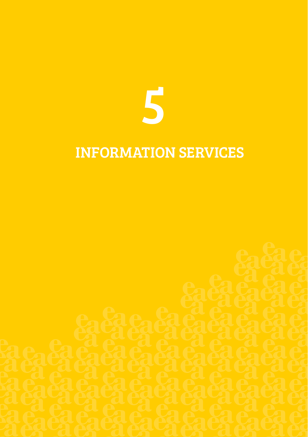

### INFORMATION SERVICES

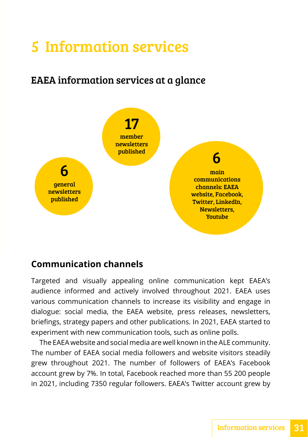### <span id="page-32-0"></span>5 Information services

### EAEA information services at a glance



#### **Communication channels**

Targeted and visually appealing online communication kept EAEA's audience informed and actively involved throughout 2021. EAEA uses various communication channels to increase its visibility and engage in dialogue: social media, the EAEA website, press releases, newsletters, briefings, strategy papers and other publications. In 2021, EAEA started to experiment with new communication tools, such as online polls.

The EAEA website and social media are well known in the ALE community. The number of EAEA social media followers and website visitors steadily grew throughout 2021. The number of followers of EAEA's Facebook account grew by 7%. In total, Facebook reached more than 55 200 people in 2021, including 7350 regular followers. EAEA's Twitter account grew by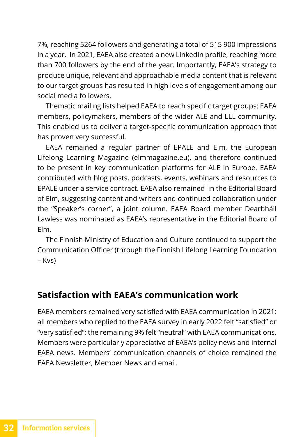<span id="page-33-0"></span>7%, reaching 5264 followers and generating a total of 515 900 impressions in a year. In 2021, EAEA also created a new LinkedIn profile, reaching more than 700 followers by the end of the year. Importantly, EAEA's strategy to produce unique, relevant and approachable media content that is relevant to our target groups has resulted in high levels of engagement among our social media followers.

Thematic mailing lists helped EAEA to reach specific target groups: EAEA members, policymakers, members of the wider ALE and LLL community. This enabled us to deliver a target-specific communication approach that has proven very successful.

EAEA remained a regular partner of EPALE and Elm, the European Lifelong Learning Magazine ([elmmagazine.eu\)](https://elmmagazine.eu), and therefore continued to be present in key communication platforms for ALE in Europe. EAEA contributed with blog posts, podcasts, events, webinars and resources to EPALE under a service contract. EAEA also remained in the Editorial Board of Elm, suggesting content and writers and continued collaboration under the "Speaker's corner", a joint column. EAEA Board member Dearbháil Lawless was nominated as EAEA's representative in the Editorial Board of Elm.

The Finnish Ministry of Education and Culture continued to support the Communication Officer (through the Finnish Lifelong Learning Foundation – Kvs)

#### **Satisfaction with EAEA's communication work**

EAEA members remained very satisfied with EAEA communication in 2021: all members who replied to the EAEA survey in early 2022 felt "satisfied" or "very satisfied"; the remaining 9% felt "neutral" with EAEA communications. Members were particularly appreciative of EAEA's policy news and internal EAEA news. Members' communication channels of choice remained the EAEA Newsletter, Member News and email.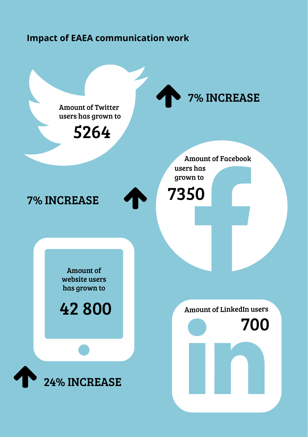#### <span id="page-34-0"></span>**Impact of EAEA communication work**

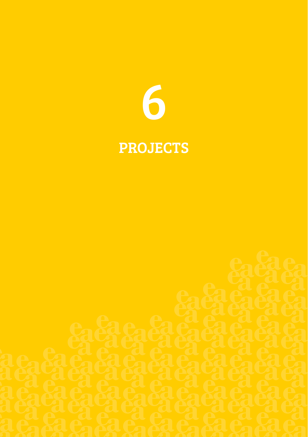

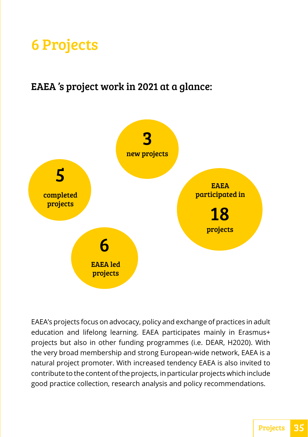## <span id="page-36-0"></span>6 Projects

#### EAEA 's project work in 2021 at a glance:



EAEA's projects focus on advocacy, policy and exchange of practices in adult education and lifelong learning. EAEA participates mainly in Erasmus+ projects but also in other funding programmes (i.e. DEAR, H2020). With the very broad membership and strong European-wide network, EAEA is a natural project promoter. With increased tendency EAEA is also invited to contribute to the content of the projects, in particular projects which include good practice collection, research analysis and policy recommendations.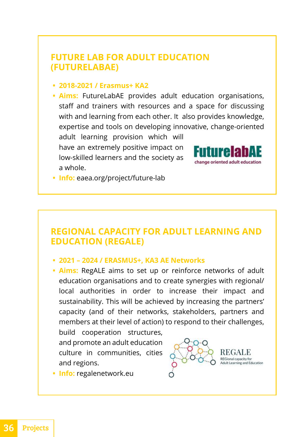#### <span id="page-37-0"></span>**FUTURE LAB FOR ADULT EDUCATION (FUTURELABAE)**

#### **• 2018-2021 / Erasmus+ KA2**

**• Aims:** FutureLabAE provides adult education organisations, staff and trainers with resources and a space for discussing with and learning from each other. It also provides knowledge, expertise and tools on developing innovative, change-oriented

adult learning provision which will have an extremely positive impact on low-skilled learners and the society as a whole.



**• Info:** [eaea.org/project/future-lab](https://eaea.org/project/future-lab)

#### **REGIONAL CAPACITY FOR ADULT LEARNING AND EDUCATION (REGALE)**

#### **• 2021 – 2024 / ERASMUS+, KA3 AE Networks**

**• Aims:** RegALE aims to set up or reinforce networks of adult education organisations and to create synergies with regional/ local authorities in order to increase their impact and sustainability. This will be achieved by increasing the partners' capacity (and of their networks, stakeholders, partners and members at their level of action) to respond to their challenges,

build cooperation structures, and promote an adult education culture in communities, cities and regions.



**• Info:** [regalenetwork.eu](https://regalenetwork.eu)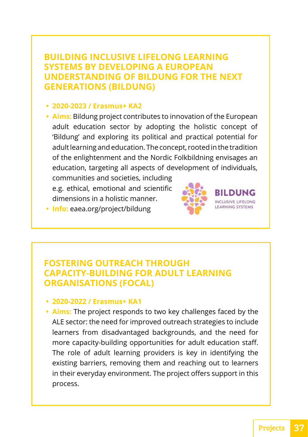#### <span id="page-38-0"></span>**BUILDING INCLUSIVE LIFELONG LEARNING SYSTEMS BY DEVELOPING A EUROPEAN UNDERSTANDING OF BILDUNG FOR THE NEXT GENERATIONS (BILDUNG)**

**• 2020-2023 / Erasmus+ KA2**

**• Aims:** Bildung project contributes to innovation of the European adult education sector by adopting the holistic concept of 'Bildung' and exploring its political and practical potential for adult learning and education. The concept, rooted in the tradition of the enlightenment and the Nordic Folkbildning envisages an education, targeting all aspects of development of individuals,

communities and societies, including e.g. ethical, emotional and scientific dimensions in a holistic manner.



**• Info:** [eaea.org/project/bildung](https://eaea.org/project/bildung)

#### **FOSTERING OUTREACH THROUGH CAPACITY-BUILDING FOR ADULT LEARNING ORGANISATIONS (FOCAL)**

#### **• 2020-2022 / Erasmus+ KA1**

**• Aims:** The project responds to two key challenges faced by the ALE sector: the need for improved outreach strategies to include learners from disadvantaged backgrounds, and the need for more capacity-building opportunities for adult education staff. The role of adult learning providers is key in identifying the existing barriers, removing them and reaching out to learners in their everyday environment. The project offers support in this process.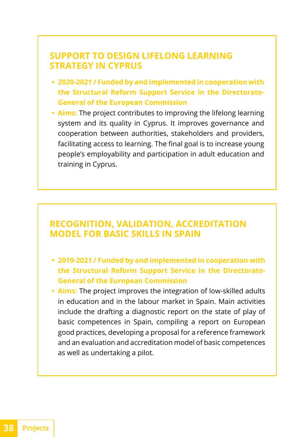#### <span id="page-39-0"></span>**SUPPORT TO DESIGN LIFELONG LEARNING STRATEGY IN CYPRUS**

- **• 2020-2021 / Funded by and implemented in cooperation with the Structural Reform Support Service in the Directorate-General of the European Commission**
- **• Aims:** The project contributes to improving the lifelong learning system and its quality in Cyprus. It improves governance and cooperation between authorities, stakeholders and providers, facilitating access to learning. The final goal is to increase young people's employability and participation in adult education and training in Cyprus.

#### **RECOGNITION, VALIDATION, ACCREDITATION MODEL FOR BASIC SKILLS IN SPAIN**

- **• 2019-2021 / Funded by and implemented in cooperation with the Structural Reform Support Service in the Directorate-General of the European Commission**
- **• Aims:** The project improves the integration of low-skilled adults in education and in the labour market in Spain. Main activities include the drafting a diagnostic report on the state of play of basic competences in Spain, compiling a report on European good practices, developing a proposal for a reference framework and an evaluation and accreditation model of basic competences as well as undertaking a pilot.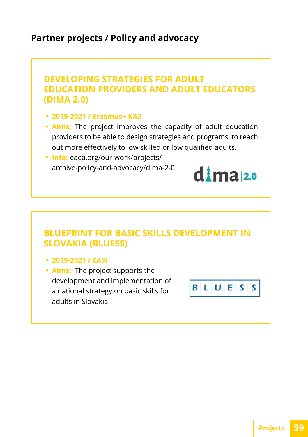#### <span id="page-40-0"></span>**Partner projects / Policy and advocacy**

#### **DEVELOPING STRATEGIES FOR ADULT EDUCATION PROVIDERS AND ADULT EDUCATORS (DIMA 2.0)**

- **2019-2021 / Erasmus+ KA2**
- **Aims:** The project improves the capacity of adult education providers to be able to design strategies and programs, to reach out more effectively to low skilled or low qualified adults.
- **Info:** eaea.org/our-work/projects/ archive-policy-and-advocacy/dima-2-0



- **2019-2021 / EASI**
- **Aims:** The project supports the development and implementation of a national strategy on basic skills for adults in Slovakia.

BLUES s

dima<sub>2.0</sub>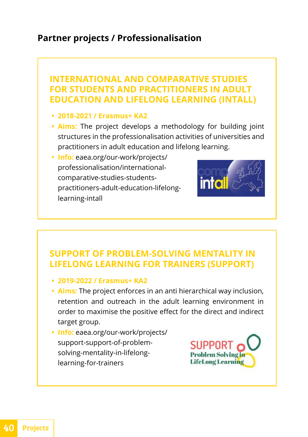#### <span id="page-41-0"></span>**Partner projects / Professionalisation**

#### **INTERNATIONAL AND COMPARATIVE STUDIES FOR STUDENTS AND PRACTITIONERS IN ADULT EDUCATION AND LIFELONG LEARNING (INTALL)**

- **• 2018-2021 / Erasmus+ KA2**
- **• Aims:** The project develops a methodology for building joint structures in the professionalisation activities of universities and practitioners in adult education and lifelong learning.
- **• Info:** [eaea.org/our-work/projects/](https://eaea.org/our-work/projects/professionalisation/international-comparative-studies-students-practitioners-adult-education-lifelong-learning-intall/) [professionalisation/international](https://eaea.org/our-work/projects/professionalisation/international-comparative-studies-students-practitioners-adult-education-lifelong-learning-intall/)[comparative-studies-students](https://eaea.org/our-work/projects/professionalisation/international-comparative-studies-students-practitioners-adult-education-lifelong-learning-intall/)[practitioners-adult-education-lifelong](https://eaea.org/our-work/projects/professionalisation/international-comparative-studies-students-practitioners-adult-education-lifelong-learning-intall/)[learning-intall](https://eaea.org/our-work/projects/professionalisation/international-comparative-studies-students-practitioners-adult-education-lifelong-learning-intall/)



#### **SUPPORT OF PROBLEM-SOLVING MENTALITY IN LIFELONG LEARNING FOR TRAINERS (SUPPORT)**

- **• 2019-2022 / Erasmus+ KA2**
- **• Aims:** The project enforces in an anti hierarchical way inclusion, retention and outreach in the adult learning environment in order to maximise the positive effect for the direct and indirect target group.
- **• Info:** [eaea.org/our-work/projects/](https://eaea.org/our-work/projects3/support-support-of-problem-solving-mentality-in-lifelong-learning-for-trainers/) [support-support-of-problem](https://eaea.org/our-work/projects3/support-support-of-problem-solving-mentality-in-lifelong-learning-for-trainers/)[solving-mentality-in-lifelong](https://eaea.org/our-work/projects3/support-support-of-problem-solving-mentality-in-lifelong-learning-for-trainers/)[learning-for-trainers](https://eaea.org/our-work/projects3/support-support-of-problem-solving-mentality-in-lifelong-learning-for-trainers/)



40 Projects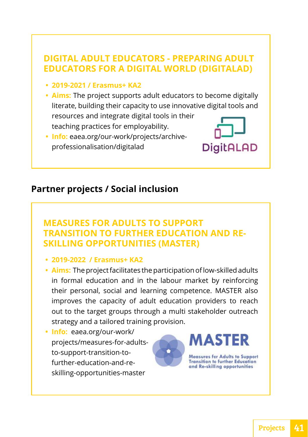#### <span id="page-42-0"></span>**DIGITAL ADULT EDUCATORS - PREPARING ADULT EDUCATORS FOR A DIGITAL WORLD (DIGITALAD)**

- **2019-2021 / Erasmus+ KA2**
- **Aims:** The project supports adult educators to become digitally literate, building their capacity to use innovative digital tools and resources and integrate digital tools in their teaching practices for employability.
- **Info:** [eaea.org/our-work/projects/archive](https://eaea.org/our-work/projects/archive-professionalisation/digitalad)professionalisation/digitalad



#### **Partner projects / Social inclusion**

#### **MEASURES FOR ADULTS TO SUPPORT TRANSITION TO FURTHER EDUCATION AND RE-SKILLING OPPORTUNITIES (MASTER)**

- **2019-2022 / Erasmus+ KA2**
- **Aims:** The project facilitates the participation of low-skilled adults in formal education and in the labour market by reinforcing their personal, social and learning competence. MASTER also improves the capacity of adult education providers to reach out to the target groups through a multi stakeholder outreach strategy and a tailored training provision.
- **Info:** eaea.org/our-work/ [projects/measures-for-adults](https://eaea.org/our-work/ projects/measures-for-adults-to-support-transition-to-further-education-and-re-skilling-opportunities-master)to-support-transition-tofurther-education-and-reskilling-opportunities-master

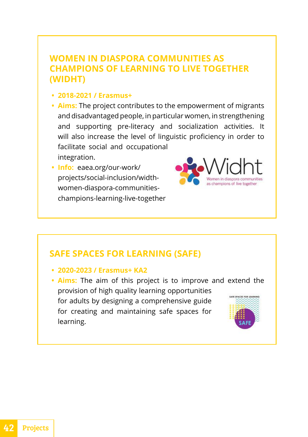#### **WOMEN IN DIASPORA COMMUNITIES AS CHAMPIONS OF LEARNING TO LIVE TOGETHER (WIDHT)**

- **2018-2021 / Erasmus+**
- **Aims:** The project contributes to the empowerment of migrants and disadvantaged people, in particular women, in strengthening and supporting pre-literacy and socialization activities. It will also increase the level of linguistic proficiency in order to facilitate social and occupational integration.
- **Info:** eaea.org/our-work/ projects/social-inclusion/widthwomen-diaspora-communities[champions-learning-live-together](https://eaea.org/our-work/projects/social-inclusion/width-women-diaspora-communities-champions-learning-live-together)



#### **SAFE SPACES FOR LEARNING (SAFE)**

- **2020-2023 / Erasmus+ KA2**
- **Aims:** The aim of this project is to improve and extend the provision of high quality learning opportunities ATE SPACES EOP IEA for adults by designing a comprehensive guide for creating and maintaining safe spaces for learning.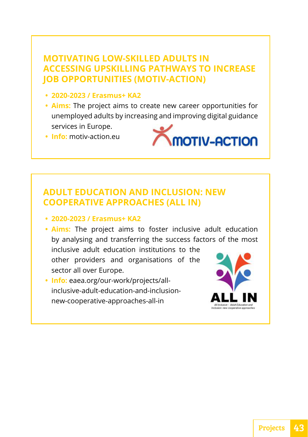#### **MOTIVATING LOW-SKILLED ADULTS IN ACCESSING UPSKILLING PATHWAYS TO INCREASE JOB OPPORTUNITIES (MOTIV-ACTION)**

- **• 2020-2023 / Erasmus+ KA2**
- **• Aims:** The project aims to create new career opportunities for unemployed adults by increasing and improving digital guidance services in Europe.
- **• Info:** [motiv-action.eu](https://motiv-action.eu/)



#### **ADULT EDUCATION AND INCLUSION: NEW COOPERATIVE APPROACHES (ALL IN)**

- **• 2020-2023 / Erasmus+ KA2**
- **• Aims:** The project aims to foster inclusive adult education by analysing and transferring the success factors of the most inclusive adult education institutions to the other providers and organisations of the
- sector all over Europe. **• Info:** [eaea.org/our-work/projects/all](https://eaea.org/our-work/projects/all-inclusive-adult-education-and-inclusion-new-cooperative-approaches-all-in/ )[inclusive-adult-education-and-inclusion-](https://eaea.org/our-work/projects/all-inclusive-adult-education-and-inclusion-new-cooperative-approaches-all-in/ )

[new-cooperative-approaches-all-in](https://eaea.org/our-work/projects/all-inclusive-adult-education-and-inclusion-new-cooperative-approaches-all-in/ )

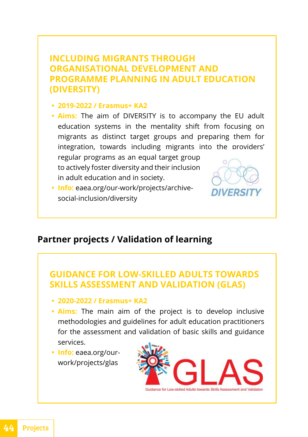#### <span id="page-45-0"></span>**INCLUDING MIGRANTS THROUGH ORGANISATIONAL DEVELOPMENT AND PROGRAMME PLANNING IN ADULT EDUCATION (DIVERSITY)**

- **2019-2022 / Erasmus+ KA2**
- **Aims:** The aim of DIVERSITY is to accompany the EU adult education systems in the mentality shift from focusing on migrants as distinct target groups and preparing them for integration, towards including migrants into the providers' regular programs as an equal target group to actively foster diversity and their inclusion in adult education and in society.
- **Info:** [eaea.org/our-work/projects/archive](https://eaea.org/our-work/projects/archive-social-inclusion/diversity)social-inclusion/diversity

#### **Partner projects / Validation of learning**

#### **GUIDANCE FOR LOW-SKILLED ADULTS TOWARDS SKILLS ASSESSMENT AND VALIDATION (GLAS)**

- **2020-2022 / Erasmus+ KA2**
- **Aims:** The main aim of the project is to develop inclusive methodologies and guidelines for adult education practitioners for the assessment and validation of basic skills and guidance services.
- **Info:** eaea.org/our[work/projects/glas](https://eaea.org/ourwork/projects/glas)

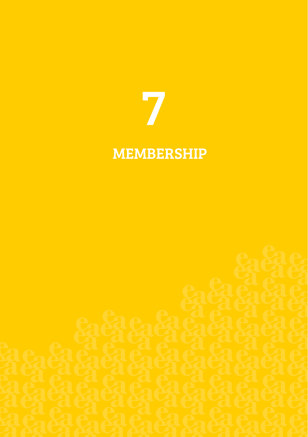

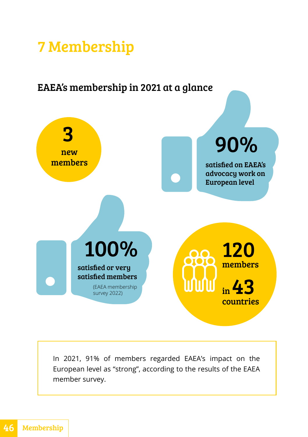### <span id="page-47-0"></span>7 Membership

### EAEA's membership in 2021 at a glance



In 2021, 91% of members regarded EAEA's impact on the European level as "strong", according to the results of the EAEA member survey.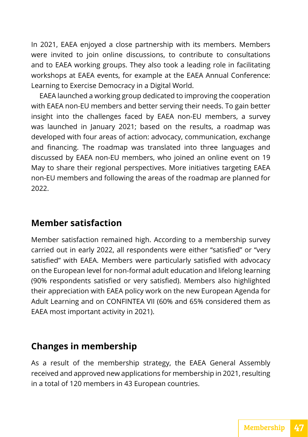<span id="page-48-0"></span>In 2021, EAEA enjoyed a close partnership with its members. Members were invited to join online discussions, to contribute to consultations and to EAEA working groups. They also took a leading role in facilitating workshops at EAEA events, for example at the EAEA Annual Conference: Learning to Exercise Democracy in a Digital World.

EAEA launched a working group dedicated to improving the cooperation with EAEA non-EU members and better serving their needs. To gain better insight into the challenges faced by EAEA non-EU members, a survey was launched in January 2021; based on the results, a roadmap was developed with four areas of action: advocacy, communication, exchange and financing. The roadmap was translated into three languages and discussed by EAEA non-EU members, who joined an online event on 19 May to share their regional perspectives. More initiatives targeting EAEA non-EU members and following the areas of the roadmap are planned for 2022.

#### **Member satisfaction**

Member satisfaction remained high. According to a membership survey carried out in early 2022, all respondents were either "satisfied" or "very satisfied" with EAEA. Members were particularly satisfied with advocacy on the European level for non-formal adult education and lifelong learning (90% respondents satisfied or very satisfied). Members also highlighted their appreciation with EAEA policy work on the new European Agenda for Adult Learning and on CONFINTEA VII (60% and 65% considered them as EAEA most important activity in 2021).

#### **Changes in membership**

As a result of the membership strategy, the EAEA General Assembly received and approved new applications for membership in 2021, resulting in a total of 120 members in 43 European countries.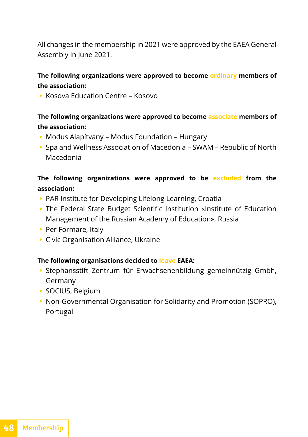All changes in the membership in 2021 were approved by the EAEA General Assembly in June 2021.

#### **The following organizations were approved to become ordinary members of the association:**

**•** Kosova Education Centre – Kosovo

#### **The following organizations were approved to become associate members of the association:**

- **•** Modus Alapítvány Modus Foundation Hungary
- **•** Spa and Wellness Association of Macedonia SWAM Republic of North Macedonia

#### **The following organizations were approved to be excluded from the association:**

- **•** PAR Institute for Developing Lifelong Learning, Croatia
- **•** The Federal State Budget Scientific Institution «Institute of Education Management of the Russian Academy of Education», Russia
- **•** Per Formare, Italy
- **•** Civic Organisation Alliance, Ukraine

#### **The following organisations decided to leave EAEA:**

- **•** Stephansstift Zentrum für Erwachsenenbildung gemeinnützig Gmbh, Germany
- **•** SOCIUS, Belgium
- **•** Non-Governmental Organisation for Solidarity and Promotion (SOPRO), Portugal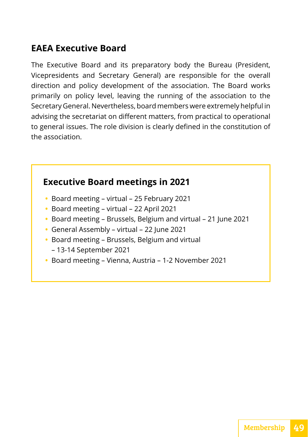#### <span id="page-50-0"></span>**EAEA Executive Board**

The Executive Board and its preparatory body the Bureau (President, Vicepresidents and Secretary General) are responsible for the overall direction and policy development of the association. The Board works primarily on policy level, leaving the running of the association to the Secretary General. Nevertheless, board members were extremely helpful in advising the secretariat on different matters, from practical to operational to general issues. The role division is clearly defined in the constitution of the association.

#### **Executive Board meetings in 2021**

- **•** Board meeting virtual 25 February 2021
- **•** Board meeting virtual 22 April 2021
- **•** Board meeting Brussels, Belgium and virtual 21 June 2021
- **•** General Assembly virtual 22 June 2021
- **•** Board meeting Brussels, Belgium and virtual
	- 13-14 September 2021
- **•** Board meeting Vienna, Austria 1-2 November 2021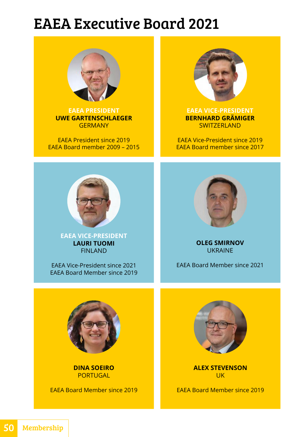### EAEA Executive Board 2021



**EAEA PRESIDENT UWE GARTENSCHLAEGER GERMANY** 

EAEA President since 2019 EAEA Board member 2009 – 2015



**EAEA VICE-PRESIDENT BERNHARD GRÄMIGER** SWITZERLAND

EAEA Vice-President since 2019 EAEA Board member since 2017



**EAEA VICE-PRESIDENT LAURI TUOMI** FINLAND

EAEA Vice-President since 2021 EAEA Board Member since 2019



**OLEG SMIRNOV** UKRAINE

EAEA Board Member since 2021



**DINA SOEIRO** PORTUGAL

EAEA Board Member since 2019



**ALEX STEVENSON** UK

EAEA Board Member since 2019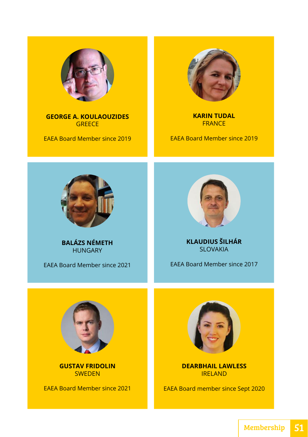

**GEORGE A. KOULAOUZIDES GREECE** 

EAEA Board Member since 2019



**KARIN TUDAL FRANCE** 

EAEA Board Member since 2019



**BALÁZS NÉMETH**  HUNGARY

EAEA Board Member since 2021



**KLAUDIUS ŠILHÁR** SLOVAKIA

EAEA Board Member since 2017



**GUSTAV FRIDOLIN SWEDEN** 

EAEA Board Member since 2021



**DEARBHAIL LAWLESS** IRELAND

EAEA Board member since Sept 2020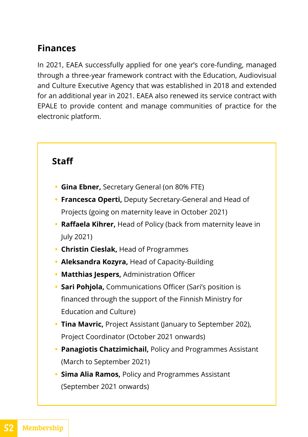#### <span id="page-53-0"></span>**Finances**

In 2021, EAEA successfully applied for one year's core-funding, managed through a three-year framework contract with the Education, Audiovisual and Culture Executive Agency that was established in 2018 and extended for an additional year in 2021. EAEA also renewed its service contract with EPALE to provide content and manage communities of practice for the electronic platform.

#### **Staff**

- **• Gina Ebner,** Secretary General (on 80% FTE)
- **• Francesca Operti,** Deputy Secretary-General and Head of Projects (going on maternity leave in October 2021)
- **• Raffaela Kihrer,** Head of Policy (back from maternity leave in July 2021)
- **• Christin Cieslak,** Head of Programmes
- **• Aleksandra Kozyra,** Head of Capacity-Building
- **• Matthias Jespers,** Administration Officer
- **• Sari Pohjola,** Communications Officer (Sari's position is financed through the support of the Finnish Ministry for Education and Culture)
- **• Tina Mavric,** Project Assistant (January to September 202), Project Coordinator (October 2021 onwards)
- **• Panagiotis Chatzimichail,** Policy and Programmes Assistant (March to September 2021)
- **• Sima Alia Ramos,** Policy and Programmes Assistant (September 2021 onwards)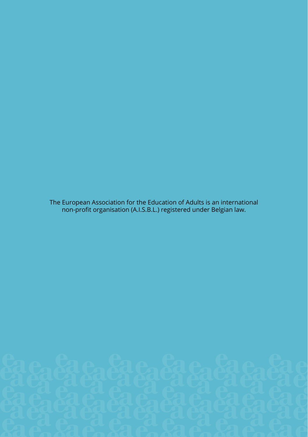The European Association for the Education of Adults is an international non-profit organisation (A.I.S.B.L.) registered under Belgian law.